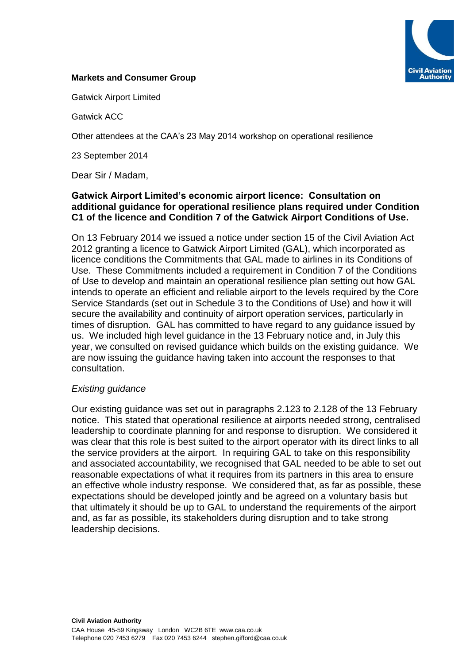

#### **Markets and Consumer Group**

Gatwick Airport Limited

Gatwick ACC

Other attendees at the CAA's 23 May 2014 workshop on operational resilience

23 September 2014

Dear Sir / Madam,

#### **Gatwick Airport Limited's economic airport licence: Consultation on additional guidance for operational resilience plans required under Condition C1 of the licence and Condition 7 of the Gatwick Airport Conditions of Use.**

On 13 February 2014 we issued a notice under section 15 of the Civil Aviation Act 2012 granting a licence to Gatwick Airport Limited (GAL), which incorporated as licence conditions the Commitments that GAL made to airlines in its Conditions of Use. These Commitments included a requirement in Condition 7 of the Conditions of Use to develop and maintain an operational resilience plan setting out how GAL intends to operate an efficient and reliable airport to the levels required by the Core Service Standards (set out in Schedule 3 to the Conditions of Use) and how it will secure the availability and continuity of airport operation services, particularly in times of disruption. GAL has committed to have regard to any guidance issued by us. We included high level guidance in the 13 February notice and, in July this year, we consulted on revised guidance which builds on the existing guidance. We are now issuing the guidance having taken into account the responses to that consultation.

#### *Existing guidance*

Our existing guidance was set out in paragraphs 2.123 to 2.128 of the 13 February notice. This stated that operational resilience at airports needed strong, centralised leadership to coordinate planning for and response to disruption. We considered it was clear that this role is best suited to the airport operator with its direct links to all the service providers at the airport. In requiring GAL to take on this responsibility and associated accountability, we recognised that GAL needed to be able to set out reasonable expectations of what it requires from its partners in this area to ensure an effective whole industry response. We considered that, as far as possible, these expectations should be developed jointly and be agreed on a voluntary basis but that ultimately it should be up to GAL to understand the requirements of the airport and, as far as possible, its stakeholders during disruption and to take strong leadership decisions.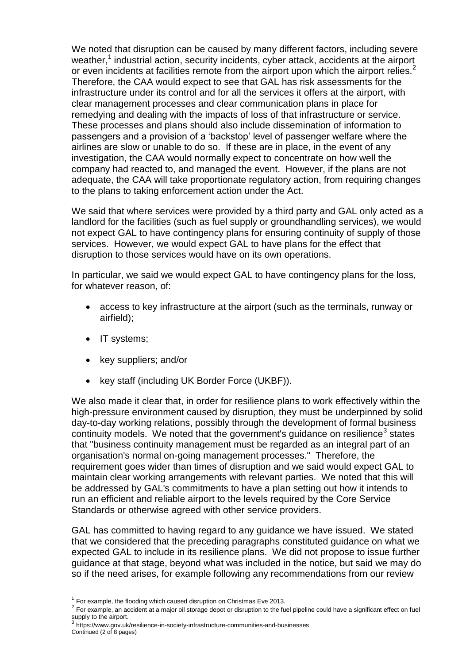We noted that disruption can be caused by many different factors, including severe weather,<sup>1</sup> industrial action, security incidents, cyber attack, accidents at the airport or even incidents at facilities remote from the airport upon which the airport relies.<sup>2</sup> Therefore, the CAA would expect to see that GAL has risk assessments for the infrastructure under its control and for all the services it offers at the airport, with clear management processes and clear communication plans in place for remedying and dealing with the impacts of loss of that infrastructure or service. These processes and plans should also include dissemination of information to passengers and a provision of a 'backstop' level of passenger welfare where the airlines are slow or unable to do so. If these are in place, in the event of any investigation, the CAA would normally expect to concentrate on how well the company had reacted to, and managed the event. However, if the plans are not adequate, the CAA will take proportionate regulatory action, from requiring changes to the plans to taking enforcement action under the Act.

We said that where services were provided by a third party and GAL only acted as a landlord for the facilities (such as fuel supply or groundhandling services), we would not expect GAL to have contingency plans for ensuring continuity of supply of those services. However, we would expect GAL to have plans for the effect that disruption to those services would have on its own operations.

In particular, we said we would expect GAL to have contingency plans for the loss, for whatever reason, of:

- access to key infrastructure at the airport (such as the terminals, runway or airfield);
- IT systems;

1

- key suppliers; and/or
- key staff (including UK Border Force (UKBF)).

We also made it clear that, in order for resilience plans to work effectively within the high-pressure environment caused by disruption, they must be underpinned by solid day-to-day working relations, possibly through the development of formal business continuity models. We noted that the government's guidance on resilience<sup>3</sup> states that "business continuity management must be regarded as an integral part of an organisation's normal on-going management processes." Therefore, the requirement goes wider than times of disruption and we said would expect GAL to maintain clear working arrangements with relevant parties. We noted that this will be addressed by GAL's commitments to have a plan setting out how it intends to run an efficient and reliable airport to the levels required by the Core Service Standards or otherwise agreed with other service providers.

GAL has committed to having regard to any guidance we have issued. We stated that we considered that the preceding paragraphs constituted guidance on what we expected GAL to include in its resilience plans. We did not propose to issue further guidance at that stage, beyond what was included in the notice, but said we may do so if the need arises, for example following any recommendations from our review

Continued (2 of 8 pages)

 $1$  For example, the flooding which caused disruption on Christmas Eve 2013.

 $2$  For example, an accident at a major oil storage depot or disruption to the fuel pipeline could have a significant effect on fuel supply to the airport.<br><sup>3</sup> https://www.gov.uk/resilience-in-society-infrastructure-communities-and-businesses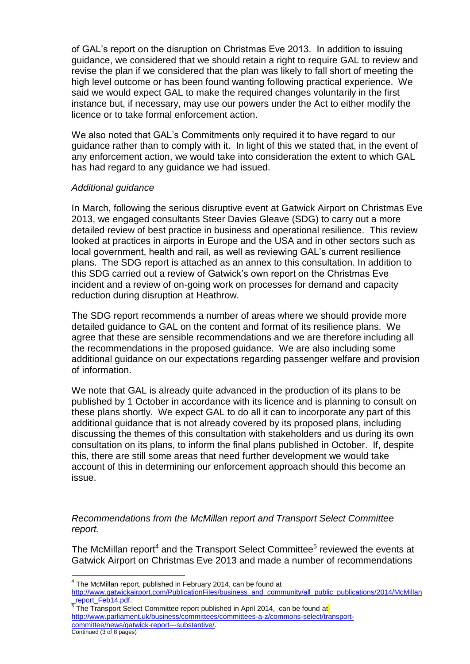of GAL's report on the disruption on Christmas Eve 2013. In addition to issuing guidance, we considered that we should retain a right to require GAL to review and revise the plan if we considered that the plan was likely to fall short of meeting the high level outcome or has been found wanting following practical experience. We said we would expect GAL to make the required changes voluntarily in the first instance but, if necessary, may use our powers under the Act to either modify the licence or to take formal enforcement action.

We also noted that GAL's Commitments only required it to have regard to our guidance rather than to comply with it. In light of this we stated that, in the event of any enforcement action, we would take into consideration the extent to which GAL has had regard to any guidance we had issued.

## *Additional guidance*

In March, following the serious disruptive event at Gatwick Airport on Christmas Eve 2013, we engaged consultants Steer Davies Gleave (SDG) to carry out a more detailed review of best practice in business and operational resilience. This review looked at practices in airports in Europe and the USA and in other sectors such as local government, health and rail, as well as reviewing GAL's current resilience plans. The SDG report is attached as an annex to this consultation. In addition to this SDG carried out a review of Gatwick's own report on the Christmas Eve incident and a review of on-going work on processes for demand and capacity reduction during disruption at Heathrow.

The SDG report recommends a number of areas where we should provide more detailed guidance to GAL on the content and format of its resilience plans. We agree that these are sensible recommendations and we are therefore including all the recommendations in the proposed guidance. We are also including some additional guidance on our expectations regarding passenger welfare and provision of information.

We note that GAL is already quite advanced in the production of its plans to be published by 1 October in accordance with its licence and is planning to consult on these plans shortly. We expect GAL to do all it can to incorporate any part of this additional guidance that is not already covered by its proposed plans, including discussing the themes of this consultation with stakeholders and us during its own consultation on its plans, to inform the final plans published in October. If, despite this, there are still some areas that need further development we would take account of this in determining our enforcement approach should this become an issue.

*Recommendations from the McMillan report and Transport Select Committee report.*

The McMillan report<sup>4</sup> and the Transport Select Committee<sup>5</sup> reviewed the events at Gatwick Airport on Christmas Eve 2013 and made a number of recommendations

1

[http://www.gatwickairport.com/PublicationFiles/business\\_and\\_community/all\\_public\\_publications/2014/McMillan](http://www.gatwickairport.com/PublicationFiles/business_and_community/all_public_publications/2014/McMillan_report_Feb14.pdf) report\_Feb14.pdf.

Continued (3 of 8 pages) <sup>5</sup> The Transport Select Committee report published in April 2014, can be found at [http://www.parliament.uk/business/committees/committees-a-z/commons-select/transport](http://www.parliament.uk/business/committees/committees-a-z/commons-select/transport-committee/news/gatwick-report---substantive/)[committee/news/gatwick-report---substantive/.](http://www.parliament.uk/business/committees/committees-a-z/commons-select/transport-committee/news/gatwick-report---substantive/)

<sup>&</sup>lt;sup>4</sup> The McMillan report, published in February 2014, can be found at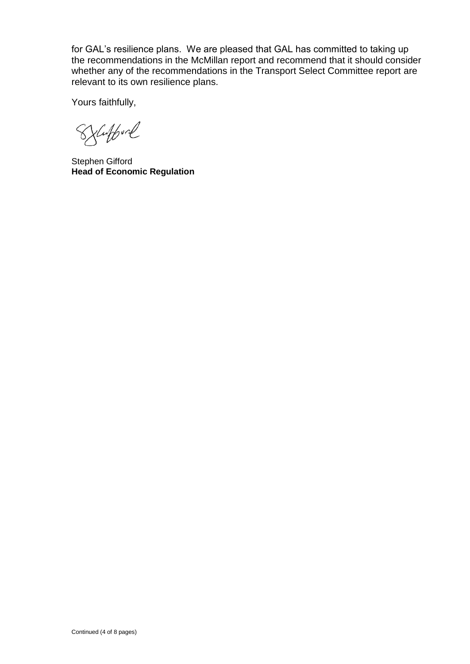for GAL's resilience plans. We are pleased that GAL has committed to taking up the recommendations in the McMillan report and recommend that it should consider whether any of the recommendations in the Transport Select Committee report are relevant to its own resilience plans.

Yours faithfully,

Sylufford

Stephen Gifford **Head of Economic Regulation**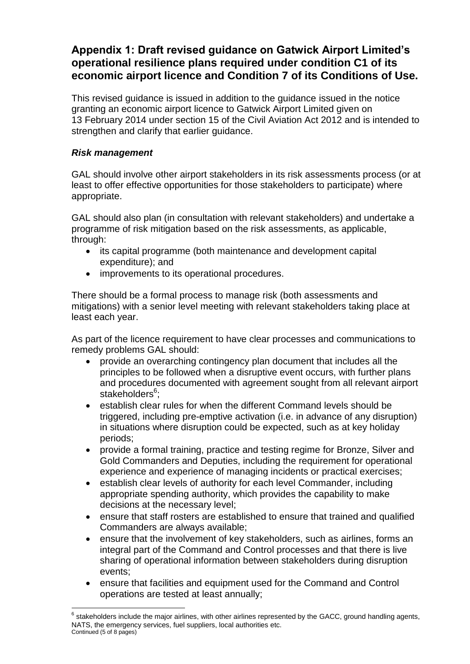# **Appendix 1: Draft revised guidance on Gatwick Airport Limited's operational resilience plans required under condition C1 of its economic airport licence and Condition 7 of its Conditions of Use.**

This revised guidance is issued in addition to the guidance issued in the notice granting an economic airport licence to Gatwick Airport Limited given on 13 February 2014 under section 15 of the Civil Aviation Act 2012 and is intended to strengthen and clarify that earlier guidance.

## *Risk management*

GAL should involve other airport stakeholders in its risk assessments process (or at least to offer effective opportunities for those stakeholders to participate) where appropriate.

GAL should also plan (in consultation with relevant stakeholders) and undertake a programme of risk mitigation based on the risk assessments, as applicable, through:

- its capital programme (both maintenance and development capital expenditure); and
- improvements to its operational procedures.

There should be a formal process to manage risk (both assessments and mitigations) with a senior level meeting with relevant stakeholders taking place at least each year.

As part of the licence requirement to have clear processes and communications to remedy problems GAL should:

- provide an overarching contingency plan document that includes all the principles to be followed when a disruptive event occurs, with further plans and procedures documented with agreement sought from all relevant airport stakeholders<sup>6</sup>;
- establish clear rules for when the different Command levels should be triggered, including pre-emptive activation (i.e. in advance of any disruption) in situations where disruption could be expected, such as at key holiday periods;
- provide a formal training, practice and testing regime for Bronze, Silver and Gold Commanders and Deputies, including the requirement for operational experience and experience of managing incidents or practical exercises;
- establish clear levels of authority for each level Commander, including appropriate spending authority, which provides the capability to make decisions at the necessary level;
- ensure that staff rosters are established to ensure that trained and qualified Commanders are always available;
- ensure that the involvement of key stakeholders, such as airlines, forms an integral part of the Command and Control processes and that there is live sharing of operational information between stakeholders during disruption events;
- ensure that facilities and equipment used for the Command and Control operations are tested at least annually;

Continued (5 of 8 pages) 1  $^6$  stakeholders include the major airlines, with other airlines represented by the GACC, ground handling agents, NATS, the emergency services, fuel suppliers, local authorities etc.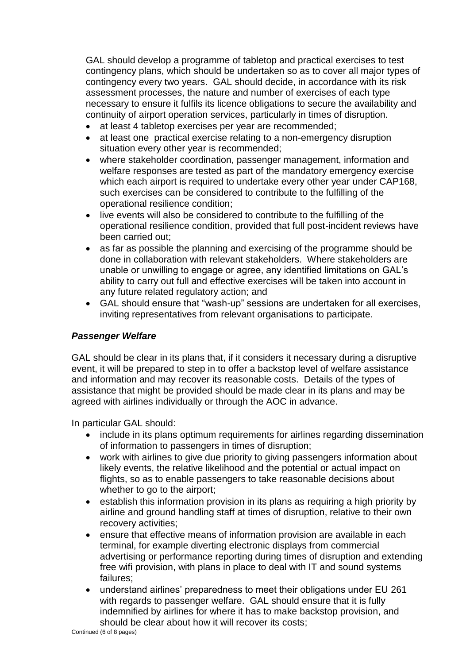GAL should develop a programme of tabletop and practical exercises to test contingency plans, which should be undertaken so as to cover all major types of contingency every two years. GAL should decide, in accordance with its risk assessment processes, the nature and number of exercises of each type necessary to ensure it fulfils its licence obligations to secure the availability and continuity of airport operation services, particularly in times of disruption.

- at least 4 tabletop exercises per year are recommended;
- at least one practical exercise relating to a non-emergency disruption situation every other year is recommended;
- where stakeholder coordination, passenger management, information and welfare responses are tested as part of the mandatory emergency exercise which each airport is required to undertake every other year under CAP168, such exercises can be considered to contribute to the fulfilling of the operational resilience condition;
- live events will also be considered to contribute to the fulfilling of the operational resilience condition, provided that full post-incident reviews have been carried out;
- as far as possible the planning and exercising of the programme should be done in collaboration with relevant stakeholders. Where stakeholders are unable or unwilling to engage or agree, any identified limitations on GAL's ability to carry out full and effective exercises will be taken into account in any future related regulatory action; and
- GAL should ensure that "wash-up" sessions are undertaken for all exercises, inviting representatives from relevant organisations to participate.

## *Passenger Welfare*

GAL should be clear in its plans that, if it considers it necessary during a disruptive event, it will be prepared to step in to offer a backstop level of welfare assistance and information and may recover its reasonable costs. Details of the types of assistance that might be provided should be made clear in its plans and may be agreed with airlines individually or through the AOC in advance.

In particular GAL should:

- include in its plans optimum requirements for airlines regarding dissemination of information to passengers in times of disruption;
- work with airlines to give due priority to giving passengers information about likely events, the relative likelihood and the potential or actual impact on flights, so as to enable passengers to take reasonable decisions about whether to go to the airport;
- establish this information provision in its plans as requiring a high priority by airline and ground handling staff at times of disruption, relative to their own recovery activities;
- ensure that effective means of information provision are available in each terminal, for example diverting electronic displays from commercial advertising or performance reporting during times of disruption and extending free wifi provision, with plans in place to deal with IT and sound systems failures;
- understand airlines' preparedness to meet their obligations under EU 261 with regards to passenger welfare. GAL should ensure that it is fully indemnified by airlines for where it has to make backstop provision, and should be clear about how it will recover its costs;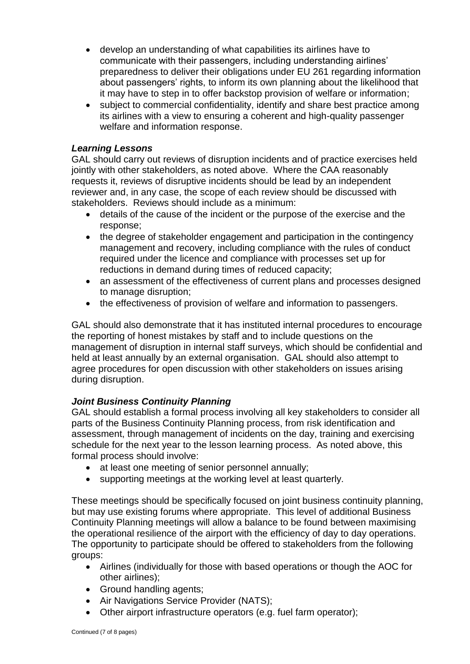- develop an understanding of what capabilities its airlines have to communicate with their passengers, including understanding airlines' preparedness to deliver their obligations under EU 261 regarding information about passengers' rights, to inform its own planning about the likelihood that it may have to step in to offer backstop provision of welfare or information;
- subject to commercial confidentiality, identify and share best practice among its airlines with a view to ensuring a coherent and high-quality passenger welfare and information response.

# *Learning Lessons*

GAL should carry out reviews of disruption incidents and of practice exercises held jointly with other stakeholders, as noted above. Where the CAA reasonably requests it, reviews of disruptive incidents should be lead by an independent reviewer and, in any case, the scope of each review should be discussed with stakeholders. Reviews should include as a minimum:

- details of the cause of the incident or the purpose of the exercise and the response;
- the degree of stakeholder engagement and participation in the contingency management and recovery, including compliance with the rules of conduct required under the licence and compliance with processes set up for reductions in demand during times of reduced capacity;
- an assessment of the effectiveness of current plans and processes designed to manage disruption;
- the effectiveness of provision of welfare and information to passengers.

GAL should also demonstrate that it has instituted internal procedures to encourage the reporting of honest mistakes by staff and to include questions on the management of disruption in internal staff surveys, which should be confidential and held at least annually by an external organisation. GAL should also attempt to agree procedures for open discussion with other stakeholders on issues arising during disruption.

## *Joint Business Continuity Planning*

GAL should establish a formal process involving all key stakeholders to consider all parts of the Business Continuity Planning process, from risk identification and assessment, through management of incidents on the day, training and exercising schedule for the next year to the lesson learning process. As noted above, this formal process should involve:

- at least one meeting of senior personnel annually;
- supporting meetings at the working level at least quarterly.

These meetings should be specifically focused on joint business continuity planning, but may use existing forums where appropriate. This level of additional Business Continuity Planning meetings will allow a balance to be found between maximising the operational resilience of the airport with the efficiency of day to day operations. The opportunity to participate should be offered to stakeholders from the following groups:

- Airlines (individually for those with based operations or though the AOC for other airlines);
- Ground handling agents;
- Air Navigations Service Provider (NATS);
- Other airport infrastructure operators (e.g. fuel farm operator);